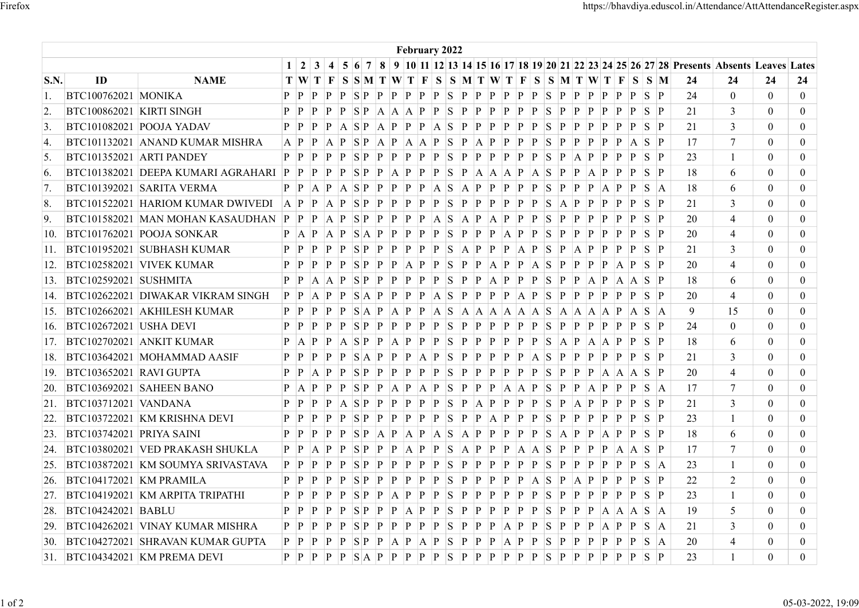|                           |                                |                                                                           |                                                                                                                                                                                                                                |                                                            |             |                       |                                                                                                                 | February 2022 |                     |   |  |   |             |              |                         |  |          |                                                                                                  |                                  |                                  |
|---------------------------|--------------------------------|---------------------------------------------------------------------------|--------------------------------------------------------------------------------------------------------------------------------------------------------------------------------------------------------------------------------|------------------------------------------------------------|-------------|-----------------------|-----------------------------------------------------------------------------------------------------------------|---------------|---------------------|---|--|---|-------------|--------------|-------------------------|--|----------|--------------------------------------------------------------------------------------------------|----------------------------------|----------------------------------|
|                           |                                |                                                                           |                                                                                                                                                                                                                                |                                                            |             |                       |                                                                                                                 |               |                     |   |  |   |             |              |                         |  |          | 5 6 7 8 9 10 11 12 13 14 15 16 17 18 19 20 21 22 23 24 25 26 27 28 Presents Absents Leaves Lates |                                  |                                  |
| $\mathbf{S}.\mathbf{N}$ . | ID                             | <b>NAME</b>                                                               |                                                                                                                                                                                                                                | $T W T F S S M T W T F S S M T W T F S S M T W T F S S M $ |             |                       |                                                                                                                 |               |                     |   |  |   |             |              |                         |  | - 24     | 24                                                                                               | 24                               | 24                               |
|                           | <b>BTC100762021 MONIKA</b>     |                                                                           |                                                                                                                                                                                                                                |                                                            |             |                       |                                                                                                                 |               |                     |   |  |   |             |              |                         |  | 24       | $\mathbf{0}$                                                                                     | $\overline{0}$                   | $\mathbf{0}$                     |
| 2.                        | BTC100862021 KIRTI SINGH       |                                                                           | $\mathbf{P}$ $\mathbf{P}$                                                                                                                                                                                                      |                                                            |             |                       |                                                                                                                 |               |                     |   |  |   | P           | P            | P P S P                 |  | 21       |                                                                                                  | $\overline{0}$                   |                                  |
|                           |                                | BTC101082021 POOJA YADAV                                                  |                                                                                                                                                                                                                                |                                                            |             |                       |                                                                                                                 |               |                     |   |  |   | P           |              | P P P P P S P           |  | 21       | 3<br>3                                                                                           | $\overline{0}$                   | $\mathbf{0}$                     |
| 3.                        |                                | BTC101132021 ANAND KUMAR MISHRA                                           | $A$ $P$                                                                                                                                                                                                                        | $\mathbf{p}$                                               |             |                       | $A$ $P$ $S$ $P$ $A$ $P$ $A$ $A$ $P$ $S$ $P$ $A$ $P$ $P$ $P$ $P$                                                 |               |                     |   |  | S | $ {\bf p} $ | $\mathbf{p}$ | $P$ $P$ $A$ $S$ $P$     |  | 17       | $\overline{7}$                                                                                   | $\mathbf{0}$                     | $\mathbf{0}$                     |
| 4.                        | BTC101352021 ARTI PANDEY       |                                                                           |                                                                                                                                                                                                                                |                                                            |             |                       |                                                                                                                 |               |                     |   |  |   |             |              |                         |  | 23       |                                                                                                  | $\theta$                         | $\mathbf{0}$<br>$\overline{0}$   |
| 5.<br>6.                  |                                | BTC101382021 DEEPA KUMARI AGRAHARI P P P                                  |                                                                                                                                                                                                                                |                                                            | $ {\bf p} $ |                       | $P$ SP $P$ A P $P$ SP $A$ A A $A$ P $A$ SP $A$ SP $P$ $A$ P $P$ SP                                              |               |                     |   |  |   |             |              |                         |  | 18       | 6                                                                                                | $\overline{0}$                   | $\mathbf{0}$                     |
|                           |                                | BTC101392021 SARITA VERMA                                                 |                                                                                                                                                                                                                                |                                                            |             |                       |                                                                                                                 |               |                     |   |  |   |             |              |                         |  | 18       | 6                                                                                                | $\overline{0}$                   | $\mathbf{0}$                     |
| 8.                        |                                | BTC101522021 HARIOM KUMAR DWIVEDI                                         | $A$ $P$                                                                                                                                                                                                                        |                                                            |             | P   A   P   S   P   P |                                                                                                                 |               | $P$ $P$ $S$ $P$ $P$ | P |  |   |             |              | P P P S A P P P P P S P |  | 21       | 3                                                                                                | $\overline{0}$                   | $\mathbf{0}$                     |
| 9.                        |                                |                                                                           |                                                                                                                                                                                                                                |                                                            |             |                       |                                                                                                                 |               |                     |   |  |   |             |              |                         |  | 20       | $\overline{4}$                                                                                   | $\theta$                         | $\mathbf{0}$                     |
| 10.                       |                                | BTC101762021 POOJA SONKAR                                                 | $P$ $A$ $P$ $A$ $P$ $S$ $A$ $P$ $P$ $P$ $P$ $P$ $S$ $P$ $P$ $P$ $A$ $P$ $P$ $S$ $P$                                                                                                                                            |                                                            |             |                       |                                                                                                                 |               |                     |   |  |   |             |              | $P$ $P$ $P$ $P$ $S$ $P$ |  | 20       | $\overline{4}$                                                                                   | $\overline{0}$                   | $\overline{0}$                   |
|                           |                                | 11. BTC101952021 SUBHASH KUMAR                                            |                                                                                                                                                                                                                                |                                                            |             |                       |                                                                                                                 |               |                     |   |  |   |             |              |                         |  | 21       | 3                                                                                                | $\Omega$                         | $\theta$                         |
|                           |                                | 12. BTC102582021 VIVEK KUMAR                                              | $P$ $P$ $P$ $P$ $P$ $S$ $P$ $P$ $P$ $A$ $P$ $P$ $S$ $P$ $P$ $A$ $P$ $P$ $A$ $S$ $P$ $P$ $P$ $P$ $A$ $P$ $S$ $P$                                                                                                                |                                                            |             |                       |                                                                                                                 |               |                     |   |  |   |             |              |                         |  | 20       |                                                                                                  | $\theta$                         | $\overline{0}$                   |
|                           | 13. BTC102592021 SUSHMITA      |                                                                           | $P$ $P$ $A$ $A$ $P$ $S$ $P$ $P$ $P$ $P$ $P$ $P$ $S$ $P$ $P$ $A$ $P$ $P$ $S$ $P$ $P$ $A$ $P$ $A$ $A$ $S$ $P$                                                                                                                    |                                                            |             |                       |                                                                                                                 |               |                     |   |  |   |             |              |                         |  |          |                                                                                                  | $\overline{0}$                   |                                  |
|                           |                                |                                                                           |                                                                                                                                                                                                                                |                                                            |             |                       |                                                                                                                 |               |                     |   |  |   |             |              |                         |  | 18<br>20 | 6<br>4                                                                                           | $\overline{0}$                   | $\bf{0}$<br>$\overline{0}$       |
|                           |                                | 15. BTC102662021 AKHILESH KUMAR                                           |                                                                                                                                                                                                                                |                                                            |             |                       |                                                                                                                 |               |                     |   |  |   |             |              |                         |  |          |                                                                                                  | $\overline{0}$                   | $\overline{0}$                   |
|                           | 16. BTC102672021 USHA DEVI     |                                                                           |                                                                                                                                                                                                                                |                                                            |             |                       |                                                                                                                 |               |                     |   |  |   |             |              |                         |  | 9        | 15                                                                                               | $\overline{0}$                   | $\overline{0}$                   |
|                           |                                | 17. BTC102702021 ANKIT KUMAR                                              |                                                                                                                                                                                                                                |                                                            |             |                       |                                                                                                                 |               |                     |   |  |   |             |              |                         |  | 24       | $\mathbf{0}$                                                                                     |                                  | $\overline{0}$                   |
|                           |                                | 18. BTC103642021 MOHAMMAD AASIF                                           | $P$ A $P$ $P$ A $S$ $P$ $P$ A $P$ $P$ $P$ $S$ $P$ $P$ $P$ $P$ $P$ $P$ $S$ $A$ $P$ $A$ $A$ $P$ $P$ $S$ $P$                                                                                                                      |                                                            |             |                       |                                                                                                                 |               |                     |   |  |   |             |              |                         |  | 18       | 6                                                                                                | $\bf{0}$                         |                                  |
|                           | 19. BTC103652021 RAVI GUPTA    |                                                                           | $P$ $P$ $P$ $P$ $P$ $S$ $A$ $P$ $P$ $P$ $A$ $P$ $S$ $P$ $P$ $P$ $P$ $P$ $A$ $S$ $P$ $P$ $P$ $P$ $P$ $P$ $S$ $P$<br>$P$ $P$ $A$ $P$ $P$ $S$ $P$ $P$ $P$ $P$ $P$ $P$ $S$ $P$ $P$ $P$ $P$ $P$ $S$ $P$ $P$ $P$ $A$ $A$ $A$ $S$ $P$ |                                                            |             |                       |                                                                                                                 |               |                     |   |  |   |             |              |                         |  | 21       | $\overline{3}$                                                                                   | $\bf{0}$<br>$\overline{0}$       | $\overline{0}$<br>$\overline{0}$ |
|                           |                                | $ 20.$ BTC103692021 SAHEEN BANO                                           | $P$ A $P$ $P$ $P$ $S$ $P$ $P$ $A$ $P$ $A$ $P$ $S$ $P$ $P$ $P$ $A$ $A$ $P$ $S$ $P$ $P$ $A$ $P$ $P$ $P$ $S$ $A$                                                                                                                  |                                                            |             |                       |                                                                                                                 |               |                     |   |  |   |             |              |                         |  | 20<br>17 | 4                                                                                                | $\overline{0}$                   | $\overline{0}$                   |
|                           | 21. BTC103712021 VANDANA       |                                                                           |                                                                                                                                                                                                                                |                                                            |             |                       |                                                                                                                 |               |                     |   |  |   |             |              |                         |  |          | 7                                                                                                |                                  | $\overline{0}$                   |
|                           |                                | $ 22.$ BTC103722021 KM KRISHNA DEVI                                       | $P$ $P$ $P$ $P$ $A$ $S$ $P$ $P$ $P$ $P$ $P$ $P$ $S$ $P$ $A$ $P$ $P$ $P$ $S$ $P$ $A$ $P$ $P$ $P$ $P$ $S$ $P$                                                                                                                    |                                                            |             |                       |                                                                                                                 |               |                     |   |  |   |             |              |                         |  | 21       | 3                                                                                                | $\bf{0}$<br>$\overline{0}$       |                                  |
|                           | 23. BTC103742021 PRIYA SAINI   |                                                                           | $P$ $P$ $P$ $P$ $P$ $S$ $P$ $A$ $P$ $A$ $P$ $A$ $S$ $A$ $P$ $P$ $P$ $P$ $P$ $S$ $A$ $P$ $P$ $A$ $P$ $P$ $S$ $P$                                                                                                                |                                                            |             |                       |                                                                                                                 |               |                     |   |  |   |             |              |                         |  | 23       |                                                                                                  |                                  | $\mathbf{0}$<br>$\overline{0}$   |
|                           |                                |                                                                           |                                                                                                                                                                                                                                |                                                            |             |                       |                                                                                                                 |               |                     |   |  |   |             |              |                         |  | 18       | 6                                                                                                | $\overline{0}$                   |                                  |
|                           |                                | $ 24.$ BTC103802021 VED PRAKASH SHUKLA                                    | $P$ $P$ $A$ $P$ $P$ $S$ $P$ $P$ $P$ $A$ $P$ $P$ $S$ $A$ $P$ $P$ $P$ $A$ $A$ $S$ $P$ $P$ $P$ $P$ $A$ $A$ $S$ $P$                                                                                                                |                                                            |             |                       |                                                                                                                 |               |                     |   |  |   |             |              |                         |  | -17      | 7                                                                                                | $\overline{0}$                   | $\overline{0}$                   |
|                           |                                | 25. BTC103872021 KM SOUMYA SRIVASTAVA                                     |                                                                                                                                                                                                                                |                                                            |             |                       |                                                                                                                 |               |                     |   |  |   |             |              |                         |  | 23       |                                                                                                  | $\overline{0}$                   | $\overline{0}$                   |
|                           | $ 26.$ BTC104172021 KM PRAMILA |                                                                           |                                                                                                                                                                                                                                |                                                            |             |                       |                                                                                                                 |               |                     |   |  |   |             |              |                         |  | 22       | 2                                                                                                | $\overline{0}$                   | $\overline{0}$                   |
|                           |                                | $ 27.$ BTC104192021 KM ARPITA TRIPATHI                                    | $P$ $P$ $P$ $P$ $P$ $S$ $P$ $P$ $A$ $P$ $P$ $P$ $S$ $P$ $P$ $P$ $P$ $P$ $P$ $S$ $P$ $P$ $P$ $P$ $P$ $P$ $S$ $P$                                                                                                                |                                                            |             |                       |                                                                                                                 |               |                     |   |  |   |             |              |                         |  | 23       |                                                                                                  | $\overline{0}$                   | $\overline{0}$                   |
|                           | 28. BTC104242021 BABLU         |                                                                           | $P$ $P$ $P$ $P$ $P$ $S$ $P$ $P$ $P$ $A$ $P$ $P$ $S$ $P$ $P$ $P$ $P$ $P$ $P$ $S$ $P$ $P$ $P$ $A$ $A$ $A$ $S$ $A$                                                                                                                |                                                            |             |                       |                                                                                                                 |               |                     |   |  |   |             |              |                         |  | 19       | 5                                                                                                | $\overline{0}$                   | $\mathbf{0}$                     |
|                           |                                | 29. BTC104262021 VINAY KUMAR MISHRA                                       |                                                                                                                                                                                                                                |                                                            |             |                       |                                                                                                                 |               |                     |   |  |   |             |              |                         |  | 21       | 3                                                                                                | $\overline{0}$                   | $\mathbf{0}$                     |
|                           |                                | $ 30.$ BTC104272021 SHRAVAN KUMAR GUPTA<br>31. BTC104342021 KM PREMA DEVI | $P P P P P P S P P A P A A P A P S P P A P P A P P S P P P P P P P P S A$                                                                                                                                                      |                                                            |             |                       | $P$ $P$ $P$ $P$ $P$ $S$ $A$ $P$ $P$ $P$ $P$ $P$ $P$ $S$ $P$ $P$ $P$ $P$ $P$ $P$ $S$ $P$ $P$ $P$ $P$ $P$ $S$ $P$ |               |                     |   |  |   |             |              |                         |  | 20<br>23 | $\overline{4}$                                                                                   | $\overline{0}$<br>$\overline{0}$ | $\mathbf{0}$<br>$\mathbf{0}$     |